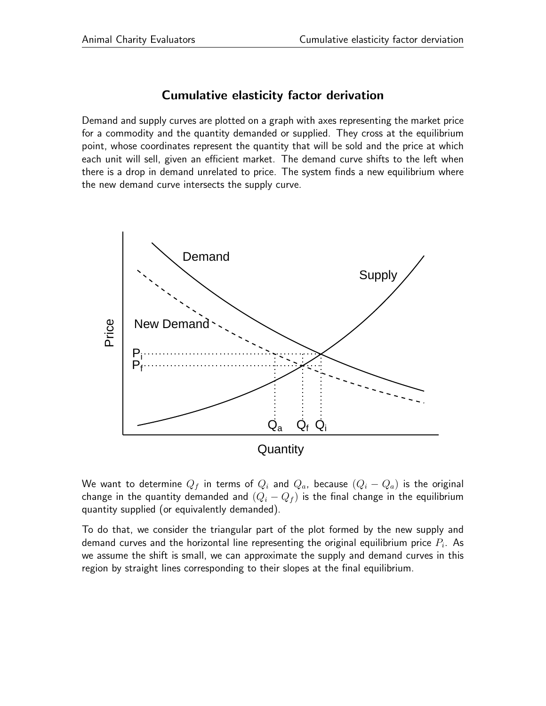## Cumulative elasticity factor derivation

Demand and supply curves are plotted on a graph with axes representing the market price for a commodity and the quantity demanded or supplied. They cross at the equilibrium point, whose coordinates represent the quantity that will be sold and the price at which each unit will sell, given an efficient market. The demand curve shifts to the left when there is a drop in demand unrelated to price. The system finds a new equilibrium where the new demand curve intersects the supply curve.



We want to determine  $Q_f$  in terms of  $Q_i$  and  $Q_a$ , because  $(Q_i - Q_a)$  is the original change in the quantity demanded and  $(Q_i - Q_f)$  is the final change in the equilibrium quantity supplied (or equivalently demanded).

To do that, we consider the triangular part of the plot formed by the new supply and demand curves and the horizontal line representing the original equilibrium price  $P_i.$  As we assume the shift is small, we can approximate the supply and demand curves in this region by straight lines corresponding to their slopes at the final equilibrium.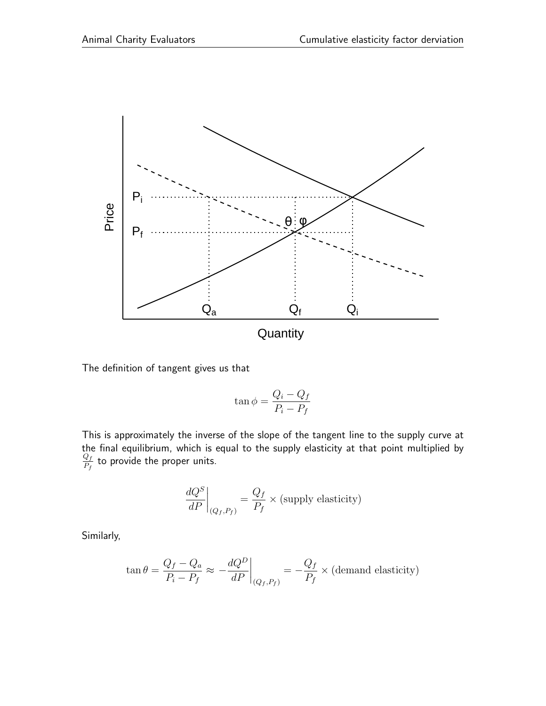

The definition of tangent gives us that

$$
\tan \phi = \frac{Q_i - Q_f}{P_i - P_f}
$$

This is approximately the inverse of the slope of the tangent line to the supply curve at the final equilibrium, which is equal to the supply elasticity at that point multiplied by  $Q_f$  $\frac{Q_f}{P_f}$  to provide the proper units.

$$
\left. \frac{dQ^S}{dP} \right|_{(Q_f, P_f)} = \frac{Q_f}{P_f} \times \text{(supply elasticity)}
$$

Similarly,

$$
\tan \theta = \frac{Q_f - Q_a}{P_i - P_f} \approx -\frac{dQ^D}{dP}\bigg|_{(Q_f, P_f)} = -\frac{Q_f}{P_f} \times \text{(demand elasticity)}
$$